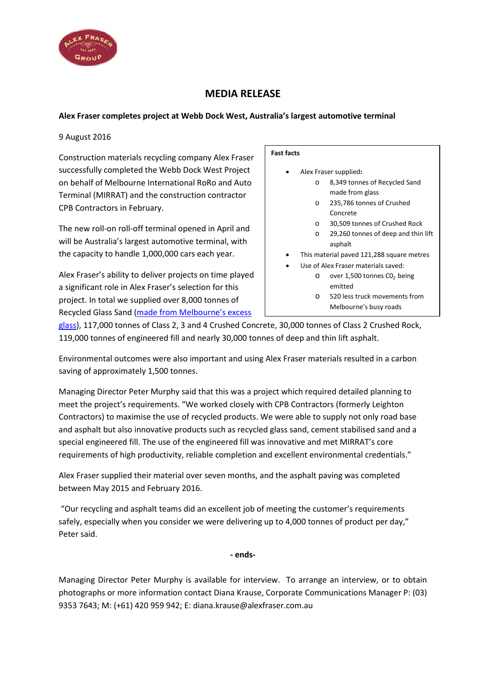

# **MEDIA RELEASE**

## **Alex Fraser completes project at Webb Dock West, Australia's largest automotive terminal**

### 9 August 2016

Construction materials recycling company Alex Fraser successfully completed the Webb Dock West Project on behalf of Melbourne International RoRo and Auto Terminal (MIRRAT) and the construction contractor CPB Contractors in February.

The new roll-on roll-off terminal opened in April and will be Australia's largest automotive terminal, with the capacity to handle 1,000,000 cars each year.

Alex Fraser's ability to deliver projects on time played a significant role in Alex Fraser's selection for this project. In total we supplied over 8,000 tonnes of Recycled Glass Sand (made from [Melbourne's excess](http://www.alexfraser.com.au/article/News/Solving_Melbournes_excess_glass_problem)

#### **Fast facts**

- Alex Fraser supplied**:**
	- o 8,349 tonnes of Recycled Sand made from glass
		- o 235,786 tonnes of Crushed Concrete
		- o 30,509 tonnes of Crushed Rock
	- o 29,260 tonnes of deep and thin lift asphalt
	- This material paved 121,288 square metres
	- Use of Alex Fraser materials saved:
		- $\circ$  over 1,500 tonnes CO<sub>2</sub> being emitted
		- o 520 less truck movements from Melbourne's busy roads

[glass\)](http://www.alexfraser.com.au/article/News/Solving_Melbournes_excess_glass_problem), 117,000 tonnes of Class 2, 3 and 4 Crushed Concrete, 30,000 tonnes of Class 2 Crushed Rock, 119,000 tonnes of engineered fill and nearly 30,000 tonnes of deep and thin lift asphalt.

Environmental outcomes were also important and using Alex Fraser materials resulted in a carbon saving of approximately 1,500 tonnes.

Managing Director Peter Murphy said that this was a project which required detailed planning to meet the project's requirements. "We worked closely with CPB Contractors (formerly Leighton Contractors) to maximise the use of recycled products. We were able to supply not only road base and asphalt but also innovative products such as recycled glass sand, cement stabilised sand and a special engineered fill. The use of the engineered fill was innovative and met MIRRAT's core requirements of high productivity, reliable completion and excellent environmental credentials."

Alex Fraser supplied their material over seven months, and the asphalt paving was completed between May 2015 and February 2016.

"Our recycling and asphalt teams did an excellent job of meeting the customer's requirements safely, especially when you consider we were delivering up to 4,000 tonnes of product per day," Peter said.

**- ends-**

Managing Director Peter Murphy is available for interview. To arrange an interview, or to obtain photographs or more information contact Diana Krause, Corporate Communications Manager P: (03) 9353 7643; M: (+61) 420 959 942; E: diana.krause@alexfraser.com.au